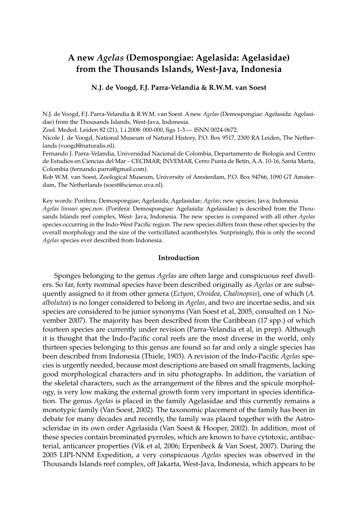# **A new** *Agelas* **(Demospongiae: Agelasida: Agelasidae) from the Thousands Islands, West-Java, Indonesia**

## **N.J. de Voogd, F.J. Parra-Velandia & R.W.M. van Soest**

N.J. de Voogd, F.J. Parra-Velandia & R.W.M. van Soest. A new *Agelas* (Demospongiae: Agelasida: Agelasidae) from the Thousands Islands, West-Java, Indonesia.

Zool. Meded. Leiden 82 (21), 1.i.2008: 000-000, figs 1-3.— ISNN 0024-0672.

Nicole J. de Voogd, National Museum of Natural History, P.O. Box 9517, 2300 RA Leiden, The Netherlands (voogd@naturalis.nl).

Fernando J. Parra-Velandia, Universidad Nacional de Colombia, Departamento de Biología and Centro de Estudios en Ciencias del Mar – CECIMAR; INVEMAR, Cerro Punta de Betín, A.A. 10-16, Santa Marta, Colombia (fernando.parra@gmail.com).

Rob W.M. van Soest, Zoological Museum, University of Amsterdam, P.O. Box 94766, 1090 GT Amsterdam, The Netherlands (soest@science.uva.nl).

Key words: Porifera; Demospongiae; Agelasida; Agelasidae; *Agelas*; new species; Java; Indonesia. *Agelas linnaei* spec.nov. (Porifera: Demospongiae: Agelasida: Agelasidae) is described from the Thousands Islands reef complex, West- Java, Indonesia. The new species is compared with all other *Agelas* species occurring in the Indo-West Pacific region. The new species differs from these other species by the overall morphology and the size of the verticillated acanthostyles. Surprisingly, this is only the second *Agelas* species ever described from Indonesia.

## **Introduction**

Sponges belonging to the genus *Agelas* are often large and conspicuous reef dwellers. So far, forty nominal species have been described originally as *Agelas* or are subsequently assigned to it from other genera (*Ectyon*, *Oroidea*, *Chalinopsis*), one of which (*A. albolutea*) is no longer considered to belong in *Agelas*, and two are incertae sedis, and six species are considered to be junior synonyms (Van Soest et al, 2005, consulted on 1 November 2007). The majority has been described from the Caribbean (17 spp.) of which fourteen species are currently under revision (Parra-Velandia et al, in prep). Although it is thought that the Indo-Pacific coral reefs are the most diverse in the world, only thirteen species belonging to this genus are found so far and only a single species has been described from Indonesia (Thiele, 1903). A revision of the Indo-Pacific *Agelas* species is urgently needed, because most descriptions are based on small fragments, lacking good morphological characters and in situ photographs. In addition, the variation of the skeletal characters, such as the arrangement of the fibres and the spicule morphology, is very low making the external growth form very important in species identification. The genus *Agelas* is placed in the family Agelasidae and this currently remains a monotypic family (Van Soest, 2002). The taxonomic placement of the family has been in debate for many decades and recently, the family was placed together with the Astroscleridae in its own order Agelasida (Van Soest & Hooper, 2002). In addition, most of these species contain brominated pyrroles, which are known to have cytotoxic, antibacterial, anticancer properties (Vik et al, 2006; Erpenbeck & Van Soest, 2007). During the 2005 LIPI-NNM Expedition, a very conspicuous *Agelas* species was observed in the Thousands Islands reef complex, off Jakarta, West-Java, Indonesia, which appears to be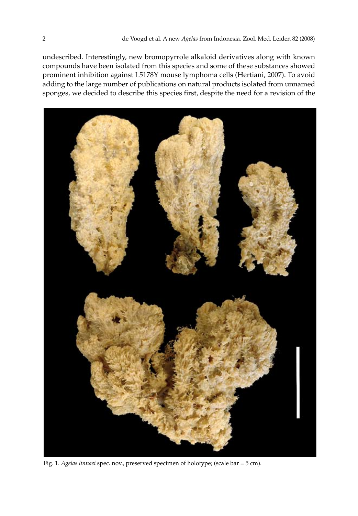undescribed. Interestingly, new bromopyrrole alkaloid derivatives along with known compounds have been isolated from this species and some of these substances showed prominent inhibition against L5178Y mouse lymphoma cells (Hertiani, 2007). To avoid adding to the large number of publications on natural products isolated from unnamed sponges, we decided to describe this species first, despite the need for a revision of the



Fig. 1. *Agelas linnaei* spec. nov., preserved specimen of holotype; (scale bar = 5 cm).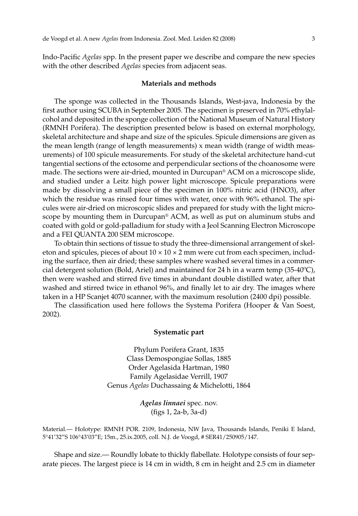Indo-Pacific *Agelas* spp. In the present paper we describe and compare the new species with the other described *Agelas* species from adjacent seas.

## **Materials and methods**

The sponge was collected in the Thousands Islands, West-java, Indonesia by the first author using SCUBA in September 2005. The specimen is preserved in 70% ethylalcohol and deposited in the sponge collection of the National Museum of Natural History (RMNH Porifera). The description presented below is based on external morphology, skeletal architecture and shape and size of the spicules. Spicule dimensions are given as the mean length (range of length measurements) x mean width (range of width measurements) of 100 spicule measurements. For study of the skeletal architecture hand-cut tangential sections of the ectosome and perpendicular sections of the choanosome were made. The sections were air-dried, mounted in Durcupan® ACM on a microscope slide, and studied under a Leitz high power light microscope. Spicule preparations were made by dissolving a small piece of the specimen in 100% nitric acid (HNO3), after which the residue was rinsed four times with water, once with 96% ethanol. The spicules were air-dried on microscopic slides and prepared for study with the light microscope by mounting them in Durcupan® ACM, as well as put on aluminum stubs and coated with gold or gold-palladium for study with a Jeol Scanning Electron Microscope and a FEI QUANTA 200 SEM microscope.

To obtain thin sections of tissue to study the three-dimensional arrangement of skeleton and spicules, pieces of about  $10 \times 10 \times 2$  mm were cut from each specimen, including the surface, then air dried; these samples where washed several times in a commercial detergent solution (Bold, Ariel) and maintained for 24 h in a warm temp  $(35-40^{\circ}C)$ , then were washed and stirred five times in abundant double distilled water, after that washed and stirred twice in ethanol 96%, and finally let to air dry. The images where taken in a HP Scanjet 4070 scanner, with the maximum resolution (2400 dpi) possible.

The classification used here follows the Systema Porifera (Hooper & Van Soest, 2002).

### **Systematic part**

Phylum Porifera Grant, 1835 Class Demospongiae Sollas, 1885 Order Agelasida Hartman, 1980 Family Agelasidae Verrill, 1907 Genus *Agelas* Duchassaing & Michelotti, 1864

> *Agelas linnaei* spec. nov. (figs 1, 2a-b, 3a-d)

Material.— Holotype: RMNH POR. 2109, Indonesia, NW Java, Thousands Islands, Peniki E Island, 5°41'32"S 106°43'03"E; 15m., 25.ix.2005, coll. N.J. de Voogd, # SER41/250905/147.

Shape and size.— Roundly lobate to thickly flabellate. Holotype consists of four separate pieces. The largest piece is 14 cm in width, 8 cm in height and 2.5 cm in diameter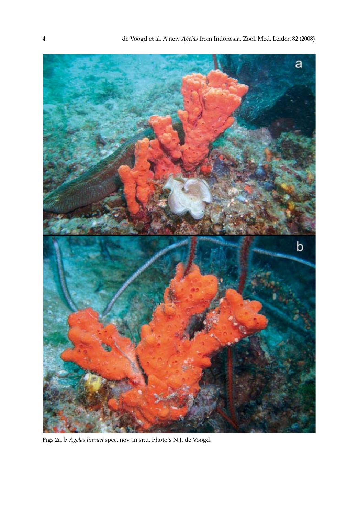

Figs 2a, b *Agelas linnaei* spec. nov. in situ. Photo's N.J. de Voogd.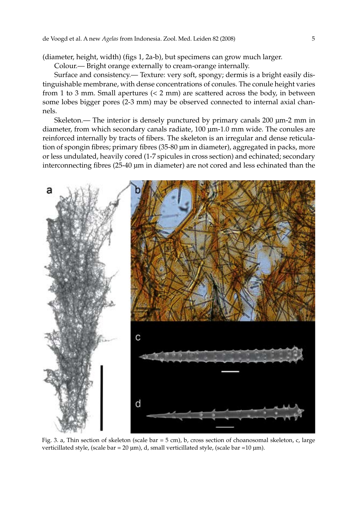(diameter, height, width) (figs 1, 2a-b), but specimens can grow much larger.

Colour.— Bright orange externally to cream-orange internally.

Surface and consistency.— Texture: very soft, spongy; dermis is a bright easily distinguishable membrane, with dense concentrations of conules. The conule height varies from 1 to 3 mm. Small apertures (< 2 mm) are scattered across the body, in between some lobes bigger pores (2-3 mm) may be observed connected to internal axial channels.

Skeleton.— The interior is densely punctured by primary canals 200 μm-2 mm in diameter, from which secondary canals radiate, 100 μm-1.0 mm wide. The conules are reinforced internally by tracts of fibers. The skeleton is an irregular and dense reticulation of spongin fibres; primary fibres (35-80 µm in diameter), aggregated in packs, more or less undulated, heavily cored (1-7 spicules in cross section) and echinated; secondary interconnecting fibres (25-40 µm in diameter) are not cored and less echinated than the



Fig. 3. a, Thin section of skeleton (scale bar = 5 cm), b, cross section of choanosomal skeleton, c, large verticillated style, (scale bar = 20 μm), d, small verticillated style, (scale bar =10 μm).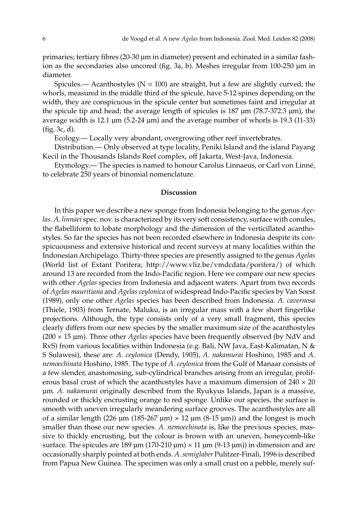primaries; tertiary fibres (20-30 µm in diameter) present and echinated in a similar fashion as the secondaries also uncored (fig. 3a, b). Meshes irregular from 100-250 µm in diameter.

Spicules.— Acanthostyles ( $N = 100$ ) are straight, but a few are slightly curved; the whorls, measured in the middle third of the spicule, have 5-12 spines depending on the width, they are conspicuous in the spicule center but sometimes faint and irregular at the spicule tip and head; the average length of spicules is 187 μm (78.7-372.3 μm), the average width is 12.1 μm (5.2-24 μm) and the average number of whorls is 19.3 (11-33) (fig. 3c, d).

Ecology.— Locally very abundant, overgrowing other reef invertebrates.

Distribution.— Only observed at type locality, Peniki Island and the island Payang Kecil in the Thousands Islands Reef complex, off Jakarta, West-Java, Indonesia.

Etymology.— The species is named to honour Carolus Linnaeus, or Carl von Linné, to celebrate 250 years of binomial nomenclature.

#### **Discussion**

In this paper we describe a new sponge from Indonesia belonging to the genus *Age*las. A. linnaei spec. nov. is characterized by its very soft consistency, surface with conules, the flabelliform to lobate morphology and the dimension of the verticillated acanthostyles. So far the species has not been recorded elsewhere in Indonesia despite its conspicuousness and extensive historical and recent surveys at many localities within the Indonesian Archipelago. Thirty-three species are presently assigned to the genus *Agelas* (World list of Extant Porifera; http://www.vliz.be/vmdcdata/porifera/) of which around 13 are recorded from the Indo-Pacific region. Here we compare our new species with other *Agelas* species from Indonesia and adjacent waters. Apart from two records of *Agelas mauritiana* and *Agelas ceylonica* of widespread Indo-Pacific species by Van Soest (1989), only one other *Agelas* species has been described from Indonesia. *A. cavernosa* (Thiele, 1903) from Ternate, Maluku, is an irregular mass with a few short fingerlike projections. Although, the type consists only of a very small fragment, this species clearly differs from our new species by the smaller maximum size of the acanthostyles (200 × 15 µm). Three other *Agelas* species have been frequently observed (by NdV and RvS) from various localities within Indonesia (e.g. Bali, NW Java, East-Kalimatan, N & S Sulawesi), these are: *A. ceylonica* (Dendy, 1905), *A. nakamurai* Hoshino, 1985 and *A. nemoechinata* Hoshino, 1985. The type of *A. ceylonica* from the Gulf of Manaar consists of a few slender, anastomosing, sub-cylindrical branches arising from an irregular, proliferous basal crust of which the acanthostyles have a maximum dimension of  $240 \times 20$ µm. *A. nakamurai* originally described from the Ryukyus Islands, Japan is a massive, rounded or thickly encrusting orange to red sponge. Unlike our species, the surface is smooth with uneven irregularly meandering surface grooves. The acanthostyles are all of a similar length (226  $\mu$ m (185-267  $\mu$ m) × 12  $\mu$ m (8-15  $\mu$ m)) and the longest is much smaller than those our new species. *A. nemoechinata* is, like the previous species, massive to thickly encrusting, but the colour is brown with an uneven, honeycomb-like surface. The spicules are 189  $\mu$ m (170-210  $\mu$ m) × 11  $\mu$ m (9-13  $\mu$ m)) in dimension and are occasionally sharply pointed at both ends. *A. semiglaber* Pulitzer-Finali, 1996 is described from Papua New Guinea. The specimen was only a small crust on a pebble, merely suf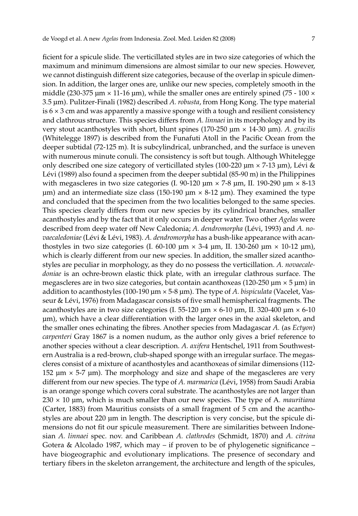ficient for a spicule slide. The verticillated styles are in two size categories of which the maximum and minimum dimensions are almost similar to our new species. However, we cannot distinguish different size categories, because of the overlap in spicule dimension. In addition, the larger ones are, unlike our new species, completely smooth in the middle (230-375  $\mu$ m  $\times$  11-16  $\mu$ m), while the smaller ones are entirely spined (75 - 100  $\times$ 3.5 µm). Pulitzer-Finali (1982) described *A. robusta*, from Hong Kong. The type material is  $6 \times 3$  cm and was apparently a massive sponge with a tough and resilient consistency and clathrous structure. This species differs from *A. linnaei* in its morphology and by its very stout acanthostyles with short, blunt spines (170-250 μm × 14-30 µm). *A. gracilis* (Whitelegge 1897) is described from the Funafuti Atoll in the Pacific Ocean from the deeper subtidal (72-125 m). It is subcylindrical, unbranched, and the surface is uneven with numerous minute conuli. The consistency is soft but tough. Although Whitelegge only described one size category of verticillated styles (100-220  $\mu$ m  $\times$  7-13  $\mu$ m), Lévi & Lévi (1989) also found a specimen from the deeper subtidal (85-90 m) in the Philippines with megascleres in two size categories (I, 90-120  $\mu$ m  $\times$  7-8  $\mu$ m, II, 190-290  $\mu$ m  $\times$  8-13 um) and an intermediate size class (150-190  $\mu$ m  $\times$  8-12  $\mu$ m). They examined the type and concluded that the specimen from the two localities belonged to the same species. This species clearly differs from our new species by its cylindrical branches, smaller acanthostyles and by the fact that it only occurs in deeper water. Two other *Agelas* were described from deep water off New Caledonia; *A. dendromorpha* (Lévi, 1993) and *A. novaecaledoniae* (Lévi & Lévi, 1983). *A. dendromorpha* has a bush-like appearance with acanthostyles in two size categories (I. 60-100  $\mu$ m  $\times$  3-4  $\mu$ m, II. 130-260  $\mu$ m  $\times$  10-12  $\mu$ m), which is clearly different from our new species. In addition, the smaller sized acanthostyles are peculiar in morphology, as they do no possess the verticillation. *A. novaecaledoniae* is an ochre-brown elastic thick plate, with an irregular clathrous surface. The megascleres are in two size categories, but contain acanthoxeas (120-250  $\mu$ m  $\times$  5  $\mu$ m) in addition to acanthostyles (100-190 µm × 5-8 µm). The type of *A. bispiculata* (Vacelet, Vasseur & Lévi, 1976) from Madagascar consists of five small hemispherical fragments. The acanthostyles are in two size categories (I. 55-120  $\mu$ m × 6-10  $\mu$ m, II. 320-400  $\mu$ m × 6-10 µm), which have a clear differentiation with the larger ones in the axial skeleton, and the smaller ones echinating the fibres. Another species from Madagascar *A.* (as *Ectyon*) *carpenteri* Gray 1867 is a nomen nudum, as the author only gives a brief reference to another species without a clear description. *A. axifera* Hentschel, 1911 from Southwestern Australia is a red-brown, club-shaped sponge with an irregular surface. The megascleres consist of a mixture of acanthostyles and acanthoxeas of similar dimensions (112- 152  $\mu$ m  $\times$  5-7  $\mu$ m). The morphology and size and shape of the megascleres are very different from our new species. The type of *A. marmarica* (Lévi, 1958) from Saudi Arabia is an orange sponge which covers coral substrate. The acanthostyles are not larger than 230 × 10 µm, which is much smaller than our new species. The type of A*. mauritiana* (Carter, 1883) from Mauritius consists of a small fragment of 5 cm and the acanthostyles are about 220 µm in length. The description is very concise, but the spicule dimensions do not fit our spicule measurement. There are similarities between Indonesian *A. linnaei* spec. nov. and Caribbean *A. clathrodes* (Schmidt, 1870) and *A. citrina* Gotera & Alcolado 1987, which may – if proven to be of phylogenetic significance – have biogeographic and evolutionary implications. The presence of secondary and tertiary fibers in the skeleton arrangement, the architecture and length of the spicules,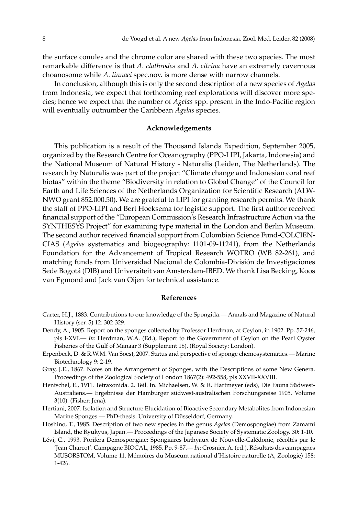the surface conules and the chrome color are shared with these two species. The most remarkable difference is that *A. clathrodes* and *A. citrina* have an extremely cavernous choanosome while *A. linnaei* spec.nov. is more dense with narrow channels.

In conclusion, although this is only the second description of a new species of *Agelas* from Indonesia, we expect that forthcoming reef explorations will discover more species; hence we expect that the number of *Agelas* spp. present in the Indo-Pacific region will eventually outnumber the Caribbean *Agelas* species.

## **Acknowledgements**

This publication is a result of the Thousand Islands Expedition, September 2005, organized by the Research Centre for Oceanography (PPO-LIPI, Jakarta, Indonesia) and the National Museum of Natural History - Naturalis (Leiden, The Netherlands). The research by Naturalis was part of the project "Climate change and Indonesian coral reef biotas" within the theme "Biodiversity in relation to Global Change" of the Council for Earth and Life Sciences of the Netherlands Organization for Scientific Research (ALW-NWO grant 852.000.50). We are grateful to LIPI for granting research permits. We thank the staff of PPO-LIPI and Bert Hoeksema for logistic support. The first author received financial support of the "European Commission's Research Infrastructure Action via the SYNTHESYS Project" for examining type material in the London and Berlin Museum. The second author received financial support from Colombian Science Fund-COLCIEN-CIAS (*Agelas* systematics and biogeography: 1101-09-11241), from the Netherlands Foundation for the Advancement of Tropical Research WOTRO (WB 82-261), and matching funds from Universidad Nacional de Colombia-División de Investigaciones Sede Bogotá (DIB) and Universiteit van Amsterdam-IBED. We thank Lisa Becking, Koos van Egmond and Jack van Oijen for technical assistance.

#### **References**

- Carter, H.J., 1883. Contributions to our knowledge of the Spongida.— Annals and Magazine of Natural History (ser. 5) 12: 302-329.
- Dendy, A., 1905. Report on the sponges collected by Professor Herdman, at Ceylon, in 1902. Pp. 57-246, pls I-XVI.— *In*: Herdman, W.A. (Ed.), Report to the Government of Ceylon on the Pearl Oyster Fisheries of the Gulf of Manaar 3 (Supplement 18). (Royal Society: London).
- Erpenbeck, D. & R.W.M. Van Soest, 2007. Status and perspective of sponge chemosystematics.— Marine Biotechnology 9: 2-19.
- Gray, J.E., 1867. Notes on the Arrangement of Sponges, with the Descriptions of some New Genera. Proceedings of the Zoological Society of London 1867(2): 492-558, pls XXVII-XXVIII.
- Hentschel, E., 1911. Tetraxonida. 2. Teil. In. Michaelsen, W. & R. Hartmeyer (eds), Die Fauna Südwest-Australiens.— Ergebnisse der Hamburger südwest-australischen Forschungsreise 1905. Volume 3(10). (Fisher: Jena).
- Hertiani, 2007. Isolation and Structure Elucidation of Bioactive Secondary Metabolites from Indonesian Marine Sponges.— PhD-thesis. University of Düsseldorf, Germany.
- Hoshino, T., 1985. Description of two new species in the genus *Agelas* (Demospongiae) from Zamami Island, the Ryukyus, Japan.— Proceedings of the Japanese Society of Systematic Zoology. 30: 1-10.
- Lévi, C., 1993. Porifera Demospongiae: Spongiaires bathyaux de Nouvelle-Calédonie, récoltés par le 'Jean Charcot'. Campagne BIOCAL, 1985. Pp. 9-87.— *In*: Crosnier, A. (ed.), Résultats des campagnes MUSORSTOM, Volume 11. Mémoires du Muséum national d'Histoire naturelle (A, Zoologie) 158: 1-426.